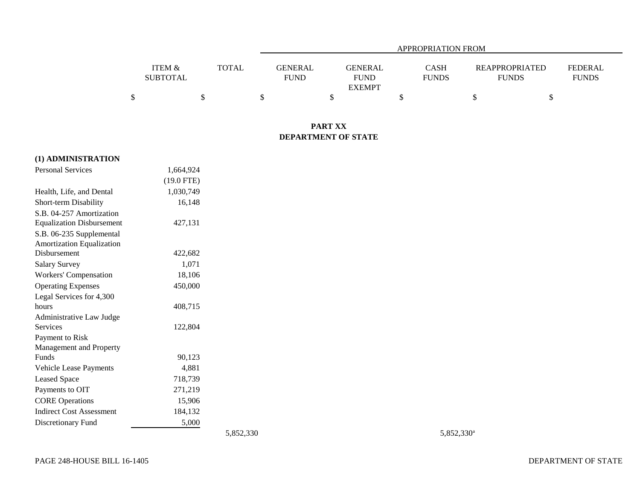|                   |              |                | APPROPRIATION FROM |              |                       |              |  |  |  |
|-------------------|--------------|----------------|--------------------|--------------|-----------------------|--------------|--|--|--|
|                   |              |                |                    |              |                       |              |  |  |  |
| <b>ITEM &amp;</b> | <b>TOTAL</b> | <b>GENERAL</b> | GENERAL            | CASH         | <b>REAPPROPRIATED</b> | FEDERAL      |  |  |  |
| <b>SUBTOTAL</b>   |              | <b>FUND</b>    | <b>FUND</b>        | <b>FUNDS</b> | <b>FUNDS</b>          | <b>FUNDS</b> |  |  |  |
|                   |              |                | <b>EXEMPT</b>      |              |                       |              |  |  |  |
|                   |              |                |                    |              |                       |              |  |  |  |

## **PART XX DEPARTMENT OF STATE**

| (1) ADMINISTRATION               |              |
|----------------------------------|--------------|
| <b>Personal Services</b>         | 1,664,924    |
|                                  | $(19.0$ FTE) |
| Health, Life, and Dental         | 1,030,749    |
| Short-term Disability            | 16,148       |
| S.B. 04-257 Amortization         |              |
| <b>Equalization Disbursement</b> | 427,131      |
| S.B. 06-235 Supplemental         |              |
| <b>Amortization Equalization</b> |              |
| Disbursement                     | 422,682      |
| <b>Salary Survey</b>             | 1,071        |
| Workers' Compensation            | 18,106       |
| <b>Operating Expenses</b>        | 450,000      |
| Legal Services for 4,300         |              |
| hours                            | 408,715      |
| Administrative Law Judge         |              |
| Services                         | 122,804      |
| Payment to Risk                  |              |
| Management and Property          |              |
| Funds                            | 90,123       |
| <b>Vehicle Lease Payments</b>    | 4,881        |
| <b>Leased Space</b>              | 718,739      |
| Payments to OIT                  | 271,219      |
| <b>CORE</b> Operations           | 15,906       |
| <b>Indirect Cost Assessment</b>  | 184,132      |
| Discretionary Fund               | 5,000        |

5,852,330<sup>a</sup> 5,852,330<sup>a</sup>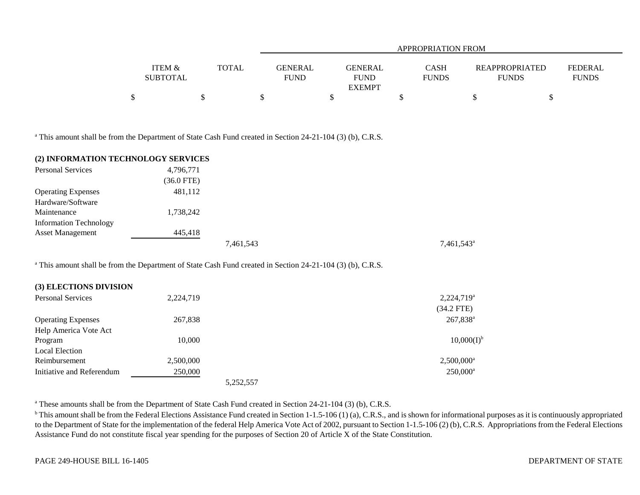|                   |              |             | APPROPRIATION FROM |              |                |                |  |  |  |
|-------------------|--------------|-------------|--------------------|--------------|----------------|----------------|--|--|--|
|                   |              |             |                    |              |                |                |  |  |  |
| <b>ITEM &amp;</b> | <b>TOTAL</b> | GENERAL     | GENERAL            | CASH         | REAPPROPRIATED | <b>FEDERAL</b> |  |  |  |
| <b>SUBTOTAL</b>   |              | <b>FUND</b> | <b>FUND</b>        | <b>FUNDS</b> | <b>FUNDS</b>   | <b>FUNDS</b>   |  |  |  |
|                   |              |             | <b>EXEMPT</b>      |              |                |                |  |  |  |
| \$                |              |             |                    |              |                |                |  |  |  |

<sup>a</sup> This amount shall be from the Department of State Cash Fund created in Section 24-21-104 (3) (b), C.R.S.

| (2) INFORMATION TECHNOLOGY SERVICES |              |           |                        |
|-------------------------------------|--------------|-----------|------------------------|
| <b>Personal Services</b>            | 4,796,771    |           |                        |
|                                     | $(36.0$ FTE) |           |                        |
| <b>Operating Expenses</b>           | 481,112      |           |                        |
| Hardware/Software                   |              |           |                        |
| Maintenance                         | 1,738,242    |           |                        |
| <b>Information Technology</b>       |              |           |                        |
| <b>Asset Management</b>             | 445,418      |           |                        |
|                                     |              | 7,461,543 | 7,461,543 <sup>a</sup> |

<sup>a</sup> This amount shall be from the Department of State Cash Fund created in Section 24-21-104 (3) (b), C.R.S.

| <b>Personal Services</b>  | 2,224,719 | $2,224,719^a$       |
|---------------------------|-----------|---------------------|
|                           |           | $(34.2$ FTE)        |
| <b>Operating Expenses</b> | 267,838   | $267,838^a$         |
| Help America Vote Act     |           |                     |
| Program                   | 10,000    | $10,000(I)^{t}$     |
| <b>Local Election</b>     |           |                     |
| Reimbursement             | 2,500,000 | $2,500,000^{\circ}$ |
| Initiative and Referendum | 250,000   | $250,000^a$         |
|                           | 5,252,557 |                     |

<sup>a</sup> These amounts shall be from the Department of State Cash Fund created in Section 24-21-104 (3) (b), C.R.S.

<sup>b</sup> This amount shall be from the Federal Elections Assistance Fund created in Section 1-1.5-106 (1) (a), C.R.S., and is shown for informational purposes as it is continuously appropriated to the Department of State for the implementation of the federal Help America Vote Act of 2002, pursuant to Section 1-1.5-106 (2) (b), C.R.S. Appropriations from the Federal Elections Assistance Fund do not constitute fiscal year spending for the purposes of Section 20 of Article X of the State Constitution.